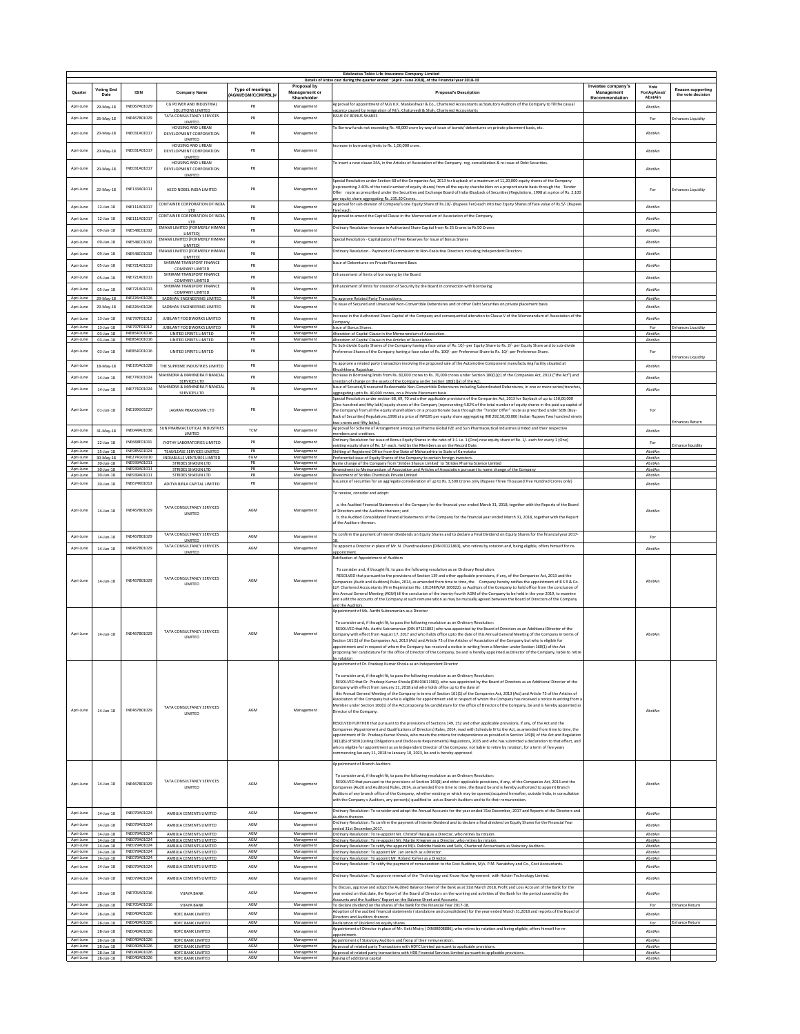|                        |                                    |                                  |                                                           |                         |                              | Edelweiss Tokio Life Insurance Company Limited<br>Details of Votes cast during the quarter ended : (April - June 2018), of the Financial year 2018-19                                                                                                                                  |                                  |                      |                           |
|------------------------|------------------------------------|----------------------------------|-----------------------------------------------------------|-------------------------|------------------------------|----------------------------------------------------------------------------------------------------------------------------------------------------------------------------------------------------------------------------------------------------------------------------------------|----------------------------------|----------------------|---------------------------|
| Quarter                | <b>Voting End</b>                  | <b>ISIN</b>                      | <b>Company Name</b>                                       | <b>Type of meetings</b> | Proposal by<br>Management or | <b>Proposal's Description</b>                                                                                                                                                                                                                                                          | Investee company's<br>Management | Vote<br>For/AgAinst/ | <b>Reason supporting</b>  |
|                        | Date                               |                                  | CG POWER AND INDUSTRIAL                                   | <b>AGM/EGM/CCM/PBLW</b> | Shareholder                  | Approval for appointment of M/s K.K. Mankeshwar & Co., Chartered Accountants as Statutory Auditors of the Company to fill the casual                                                                                                                                                   | Recommendation                   | AbstAin              | the vote decision         |
| Apri-June              | 29-May-18                          | INE067A01029                     | SOLUTIONS LIMITED                                         | PB                      | Management                   | vacancy caused by resignation of M/s. Chaturyedi & Shah, Chartered Accountants                                                                                                                                                                                                         |                                  | AbstAir              |                           |
| Apri-June              | 26-May-18                          | INE467B01029                     | TATA CONSULTANCY SERVICES<br>LIMITED                      | PB                      | Management                   | <b>ISSUE OF BONUS SHARES</b>                                                                                                                                                                                                                                                           |                                  | For                  | inhances Liquidity        |
| Apri-June              | 20-May-18                          | INE031A01017                     | HOUSING AND URBAN<br>DEVELOPMENT CORPORATION              | PB                      | Management                   | To Borrow funds not exceeding Rs. 40,000 crore by way of issue of bonds/ debentures on private placement basis, etc.                                                                                                                                                                   |                                  | AbstAin              |                           |
|                        |                                    |                                  | LIMITED<br>HOUSING AND URBAN                              |                         |                              | Increase in borrowing limits to Rs. 1.00.000 crore.                                                                                                                                                                                                                                    |                                  |                      |                           |
| Apri-June              | 20-May-18                          | INE031A01017                     | DEVELOPMENT CORPORATION                                   | PB                      | Management                   |                                                                                                                                                                                                                                                                                        |                                  | AbstAin              |                           |
|                        |                                    |                                  | LIMITED<br>HOUSING AND URBAN                              |                         |                              | To insert a new clause 34A, in the Articles of Association of the Company- reg. consolidation & re-issue of Debt Securities.                                                                                                                                                           |                                  |                      |                           |
| Apri-June              | 20-May-18                          | INE031A01017                     | DEVELOPMENT CORPORATION<br>LIMITED                        | PB                      | Management                   |                                                                                                                                                                                                                                                                                        |                                  | AbstAin              |                           |
|                        |                                    |                                  |                                                           |                         |                              | Special Resolution under Section 68 of the Companies Act, 2013 for buyback of a maximum of 11,20,000 equity shares of the Company<br>frepresenting 2.40% of the total number of equity shares) from all the equity shareholders on a proportionate basis through the Tender            |                                  |                      |                           |
| Apri-June              | 22-May-18                          | INE133A01011                     | AKZO NOBEL INDIA LIMITED                                  | PB                      | Management                   | Offer route as prescribed under the Securities and Exchange Board of India (Buyback of Securities) Regulations, 1998 at a price of Rs. 2,100                                                                                                                                           |                                  | For                  | <b>Enhances Liquidity</b> |
| Apri-June              | $12$ -Jun-18                       | INF111401017                     | CONTAINER CORPORATION OF INDIA                            | PB                      | Management                   | per equity share aggregating Rs. 235.20 Crores<br>Approval for sub-division of Company's one Equity Share of Rs.10/- (Rupees Ten) each into two Equity Shares of face value of Rs.5/- (Rupees                                                                                          |                                  | AbstAin              |                           |
| Apri-June              | $12$ -Jun-18                       | INF111401017                     | LTD<br>CONTAINER CORPORATION OF INDIA                     | PB                      | Management                   | Five) each.<br>Approval to amend the Capital Clause in the Memorandum of Association of the Company.                                                                                                                                                                                   |                                  | AbstAin              |                           |
|                        |                                    |                                  | LTD<br>EMAMI LIMITED FFORMERLY HIMANI                     |                         |                              | Ordinary Resolution-Increase in Authorized Share Capital from Rs 25 Crores to Rs 50 Crores                                                                                                                                                                                             |                                  |                      |                           |
| Apri-June              | 09-Jun-18                          | INE548C01032                     | <b>LIMITED</b>                                            | PB                      | Management                   |                                                                                                                                                                                                                                                                                        |                                  | AbstAin              |                           |
| Apri-June              | $09$ -Jun-18                       | INFS48C01032                     | EMAMI LIMITED [FORMERLY HIMAN]<br><b>LIMITED1</b>         | PB                      | Management                   | Special Resolution - Capitalization of Free Reserves for Issue of Bonus Shares                                                                                                                                                                                                         |                                  | AbstAin              |                           |
| Apri-June              | $09$ -Jun-18                       | INE548C01032                     | EMAMI LIMITED [FORMERLY HIMAN<br><b>LIMITED1</b>          | PB                      | Management                   | Ordinary Resolution - Payment of Commission to Non-Executive Directors including Independent Directors                                                                                                                                                                                 |                                  | AbstAin              |                           |
| Apri-June              | $05$ -Jun-18                       | INE721A01013                     | SHRIRAM TRANSPORT FINANCE                                 | PB                      | Management                   | Issue of Debentures on Private Placement Basis                                                                                                                                                                                                                                         |                                  | AbstAin              |                           |
| Apri-June              | $05$ -Jun-18                       | INE721A01013                     | <b>COMPANY LIMITED</b><br>SHRIRAM TRANSPORT FINANCE       | PB                      | Management                   | Enhancement of limits of borrowing by the Board                                                                                                                                                                                                                                        |                                  | AbstAin              |                           |
| Apri-June              | $05$ -Jun-18                       | INE721A01013                     | <b>COMPANY LIMITED</b><br>SHRIRAM TRANSPORT FINANCE       | PB                      | Management                   | Enhancement of limits for creation of Security by the Board in connection with borrowing                                                                                                                                                                                               |                                  | AbstAin              |                           |
| Apri-June              | 29-May-18                          | INE226H01026                     | <b>COMPANY LIMITED</b><br>SADBHAV ENGINEERING LIMITED     | PB                      | Management                   | To approve Related Party Transactions                                                                                                                                                                                                                                                  |                                  | AhstAir              |                           |
| Apri-June              | 29-May-18                          | INE226H01026                     | SADBHAV ENGINEERING LIMITED                               | PB                      | Management                   | To Issue of Secured and Unsecured Non-Convertible Debentures and or other Debt Securities on private placement basis                                                                                                                                                                   |                                  | AbstAir              |                           |
| Apri-June              | $13$ -Jun- $18$                    | INE797F01012                     | JUBILANT FOODWORKS LIMITED                                | PB                      | Management                   | Increase in the Authorized Share Capital of the Company and consequential alteration to Clause V of the Memorandum of Association of the                                                                                                                                               |                                  | AbstAir              |                           |
| Apri-June              | $13$ -Jun- $18$                    | INE797F01012                     | JUBILANT FOODWORKS LIMITED                                | PB                      | Management                   | Company<br><b>Issue of Bonus Shares</b>                                                                                                                                                                                                                                                |                                  | For                  | <b>Enhances Liquidity</b> |
| Apri-June              | $03$ -Jun-18                       | INE854D01016<br>INE854D01016     | UNITED SPIRITS LIMITED                                    | PB<br>PB                | Management                   | Alteration of Capital Clause in the Memorandum of Association                                                                                                                                                                                                                          |                                  | AbstAir              |                           |
| Apri-June              | $03$ -Jun-18                       |                                  | UNITED SPIRITS LIMITED                                    |                         | Management                   | Alteration of Capital Clause in the Articles of Association<br>To Sub-divide Equity Shares of the Company having a face value of Rs. 10/- per Equity Share to Rs. 2/- per Equity Share and to sub-divide                                                                               |                                  | AbstAin              |                           |
| Apri-June              | 03-Jun-18                          | INE854D01016                     | UNITED SPIRITS LIMITED                                    | PB                      | Management                   | Preference Shares of the Company having a face value of Rs. 100/- per Preference Share to Rs. 10/- per Preference Share.                                                                                                                                                               |                                  | For                  | inhances Liquidity        |
| Apri-Jun               | 18-May-18                          | INE195A01028                     | THE SUPREME INDUSTRIES LIMITED                            | PB                      | Management                   | To approve a related party transaction involving the proposed sale of the Automotive Component manufacturing facility situated at                                                                                                                                                      |                                  | AbstAir              |                           |
| Apri-Jun               | 14-Jun-18                          | INE774D01024                     | MAHINDRA & MAHINDRA FINANCIAL                             | PB                      | Management                   | hushkhera. Raiasthan<br>Increase in Borrowing limits from Rs. 60,000 crores to Rs. 70,000 crores under Section 180(1)(c) of the Companies Act, 2013 ("the Act") and                                                                                                                    |                                  | AbstAin              |                           |
| Apri-Juni              | $14$ -Jun- $18$                    | INE774D01024                     | SERVICES LTD<br>MAHINDRA & MAHINDRA FINANCIAL             | PB                      | Management                   | creation of charge on the assets of the Company under Section 180(1)(a) of the Act.<br>Issue of Secured/Unsecured Redeemable Non-Convertible Debentures including Subordinated Debentures, in one or more series/tranches,                                                             |                                  | AbstAir              |                           |
|                        |                                    |                                  | SERVICES LTD                                              |                         |                              | aggregating upto Rs. 40.000 crores, on a Private Placement basis.<br>Special Resolution under section 68, 69, 70 and other applicable provisions of the Companies Act, 2013 for Buyback of up to 150,00,000                                                                            |                                  |                      |                           |
|                        |                                    |                                  |                                                           |                         |                              | One hundred and fifty lakh) equity shares of the Company (representing 4.82% of the total number of equity shares in the paid up capital o                                                                                                                                             |                                  |                      |                           |
| Apri-June              | $01$ -Jun-18                       | INE199G01027                     | JAGRAN PRAKASHAN LTD                                      | PB                      | Management                   | the Company) from all the equity shareholders on a proportionate basis through the "Tender Offer" route as prescribed under SEBI (Buy-<br>Back of Securities) Regulations,1998 at a price of INR195 per equity share aggregating INR 292,50,00,000 (Indian Rupees Two hundred ninet    |                                  | For                  |                           |
|                        |                                    |                                  | SUN PHARMACEUTICAL INDUSTRIES                             |                         |                              | wo crores and fifty lakhs).<br>Approval for Scheme of Arrangement among Sun Pharma Global FZE and Sun Pharmaceutical Industries Limited and their respective                                                                                                                           |                                  |                      | inhances Return           |
| Apri-June              | 31-May-18                          | INE044A01036                     | LIMITED                                                   | <b>TCM</b>              | Management                   | nembers and creditors.                                                                                                                                                                                                                                                                 |                                  | AbstAir              |                           |
| Apri-June              | $22$ -Jun-18                       | INF668F01031                     | JYOTHY LABORATORIES LIMITED                               | PB                      | Management                   | Ordinary Resolution for issue of Bonus Equity Shares in the ratio of 1:1 i.e. 1 (One) new equity share of Re. 1/- each for every 1 (One)<br>existing equity share of Re. 1/- each, held by the Members as on the Record Date.                                                          |                                  | For                  | nhance liquidity          |
| Apri-June<br>Apri-June | $25$ -Jun-18<br>30-May-18          | INE985S01024<br>INE274G01010     | TEAMLEASE SERVICES LIMITED<br>INDIABULLS VENTURES LIMITED | PB<br>EGM               | Management<br>Management     | Shifting of Registered Office from the State of Maharashtra to State of Karnataka<br>Preferential issue of Equity Shares of the Company to certain foreign investors.                                                                                                                  |                                  | AbstAin<br>AbstAin   |                           |
| Apri-June<br>Apri-June | $30$ -Jun-18                       | INE939A01011<br>INE939A01011     | STRIDES SHASUN LTD<br>STRIDES SHASUN LTD                  | PB<br>PB                | Management                   | Name change of the Company from 'Strides Shasun Limited' to 'Strides Pharma Science Limited                                                                                                                                                                                            |                                  | AbstAin              |                           |
| Apri-June              | $30$ -Jun-18<br>$30$ -Jun-18       | INE939A01011                     | STRIDES SHASUN LTD                                        | PB                      | Management<br>Management     | Amendment to Memorandum of Association and Articles of Association pursuant to name change of the Company<br>Divestment of Strides Chemicals Private Limited                                                                                                                           |                                  | AbstAin<br>AhstAin   |                           |
| Apri-June              | 30-Jun-18                          | INE674K01013                     | ADITYA BIRLA CAPITAL LIMITED                              | PB                      | Management                   | Issuance of securities for an aggregate consideration of up to Rs. 3,500 Crores only (Rupees Three Thousand Five Hundred Crores only)                                                                                                                                                  |                                  | AbstAin              |                           |
|                        |                                    |                                  |                                                           |                         |                              | To receive, consider and adopt:                                                                                                                                                                                                                                                        |                                  |                      |                           |
|                        |                                    |                                  | TATA CONSULTANCY SERVICES                                 |                         |                              | a. the Audited Financial Statements of the Company for the financial year ended March 31, 2018, together with the Reports of the Board                                                                                                                                                 |                                  |                      |                           |
| Apri-June              | 14-Jun-18                          | INE467B01029                     | LIMITED                                                   | AGM                     | Management                   | of Directors and the Auditors thereon; and<br>b. the Audited Consolidated Financial Statements of the Company for the financial year ended March 31, 2018, together with the Report                                                                                                    |                                  | AbstAir              |                           |
|                        |                                    |                                  |                                                           |                         |                              | of the Auditors thereor                                                                                                                                                                                                                                                                |                                  |                      |                           |
| Apri-June              | $14$ -Jun- $18$                    | INE467B01029                     | TATA CONSULTANCY SERVICES                                 | AGM                     | Management                   | To confirm the payment of Interim Dividends on Equity Shares and to declare a Final Dividend on Equity Shares for the financial year 2017-                                                                                                                                             |                                  | For                  |                           |
| Apri-June              |                                    | INE467B01029                     | LIMITED<br>TATA CONSULTANCY SERVICES                      | AGM                     |                              | To appoint a Director in place of Mr. N. Chandrasekaran (DIN 00121863), who retires by rotation and, being eligible, offers himself for re-                                                                                                                                            |                                  | AbstAin              |                           |
|                        | 14-Jun-18                          |                                  | LIMITED                                                   |                         | Management                   | appointment.<br>Ratification of Appointment of Auditors                                                                                                                                                                                                                                |                                  |                      |                           |
|                        |                                    |                                  |                                                           |                         |                              |                                                                                                                                                                                                                                                                                        |                                  |                      |                           |
|                        |                                    |                                  | TATA CONSULTANCY SERVICES                                 |                         |                              | To consider and, if thought fit, to pass the following resolution as an Ordinary Resolution:<br>RESOLVED that pursuant to the provisions of Section 139 and other applicable provisions, if any, of the Companies Act, 2013 and the                                                    |                                  |                      |                           |
| Apri-June              | $14$ -Jun- $18$                    | INF467801029                     | LIMITED                                                   | AGM                     | Management                   | Companies (Audit and Auditors) Rules, 2014, as amended from time to time, the Company hereby ratifies the appointment of B S R & Co.<br>LLP, Chartered Accountants (Firm Registration No. 101248W/W 100022), as Auditors of the Company to hold office from the conclusion of          |                                  | AbstAir              |                           |
|                        |                                    |                                  |                                                           |                         |                              | this Annual General Meeting (AGM) till the conclusion of the twenty-fourth AGM of the Company to be held in the year 2019, to examine                                                                                                                                                  |                                  |                      |                           |
|                        |                                    |                                  |                                                           |                         |                              | and audit the accounts of the Company at such remuneration as may be mutually agreed between the Board of Directors of the Company<br>and the Auditors.                                                                                                                                |                                  |                      |                           |
|                        |                                    |                                  |                                                           |                         |                              | Appointment of Ms. Aarthi Subramanian as a Director                                                                                                                                                                                                                                    |                                  |                      |                           |
|                        |                                    |                                  |                                                           |                         |                              | To consider and, if thought fit, to pass the following resolution as an Ordinary Resolution:                                                                                                                                                                                           |                                  |                      |                           |
| Apri-June              | $14$ -Jun-18                       | INE467B01029                     | TATA CONSULTANCY SERVICES<br>LIMITED                      | AGM                     | Management                   | RESOLVED that Ms. Aarthi Subramanian (DIN 07121802) who was appointed by the Board of Directors as an Additional Director of the<br>Company with effect from August 17, 2017 and who holds office upto the date of this Annual General Meeting of the Company in terms of              |                                  | AbstAir              |                           |
|                        |                                    |                                  |                                                           |                         |                              | Section 161(1) of the Companies Act, 2013 (Act) and Article 73 of the Articles of Association of the Company but who is eligible for<br>appointment and in respect of whom the Company has received a notice in writing from a Member under Section 160(1) of the Act                  |                                  |                      |                           |
|                        |                                    |                                  |                                                           |                         |                              | proposing her candidature for the office of Director of the Company, be and is hereby appointed as Director of the Company, liable to retire                                                                                                                                           |                                  |                      |                           |
|                        |                                    |                                  |                                                           |                         |                              | y rotat<br>Appointment of Dr. Pradeep Kumar Khosla as an Independent Director                                                                                                                                                                                                          |                                  |                      |                           |
|                        |                                    |                                  |                                                           |                         |                              | To consider and, if thought fit, to pass the following resolution as an Ordinary Resolution:                                                                                                                                                                                           |                                  |                      |                           |
|                        |                                    |                                  |                                                           |                         |                              | RESOLVED that Dr. Pradeep Kumar Khosla (DIN 03611983), who was appointed by the Board of Directors as an Additional Director of the                                                                                                                                                    |                                  |                      |                           |
|                        |                                    |                                  |                                                           |                         |                              | Company with effect from January 11, 2018 and who holds office up to the date of<br>this Annual General Meeting of the Company in terms of Section 161(1) of the Companies Act. 2013 (Act) and Article 73 of the Articles of                                                           |                                  |                      |                           |
|                        |                                    |                                  |                                                           |                         |                              | Association of the Company but who is eligible for appointment and in respect of whom the Company has received a notice in writing from a<br>Member under Section 160(1) of the Act proposing his candidature for the office of Director of the Company, be and is hereby appointed as |                                  |                      |                           |
| Apri-June              | $14$ -Jun- $18$                    | INE467B01029                     | TATA CONSULTANCY SERVICES<br>LIMITED                      | AGM                     | Management                   | Director of the Company.                                                                                                                                                                                                                                                               |                                  | AbstAin              |                           |
|                        |                                    |                                  |                                                           |                         |                              | RESOLVED FURTHER that pursuant to the provisions of Sections 149, 152 and other applicable provisions, if any, of the Act and the                                                                                                                                                      |                                  |                      |                           |
|                        |                                    |                                  |                                                           |                         |                              | Companies (Appointment and Qualifications of Directors) Rules, 2014, read with Schedule IV to the Act, as amended from time to time, the<br>appointment of Dr. Pradeep Kumar Khosla, who meets the criteria for independence as provided in Section 149(6) of the Act and Regulation   |                                  |                      |                           |
|                        |                                    |                                  |                                                           |                         |                              | 16(1)(b) of SEBI (Listing Obligations and Disclosure Requirements) Regulations, 2015 and who has submitted a declaration to that effect, and                                                                                                                                           |                                  |                      |                           |
|                        |                                    |                                  |                                                           |                         |                              | who is eligible for appointment as an Independent Director of the Company, not liable to retire by rotation, for a term of five years<br>commencing January 11, 2018 to January 10, 2023, be and is hereby approved.                                                                   |                                  |                      |                           |
|                        |                                    |                                  |                                                           |                         |                              | Appointment of Branch Auditors                                                                                                                                                                                                                                                         |                                  |                      |                           |
|                        |                                    |                                  |                                                           |                         |                              | To consider and, if thought fit, to pass the following resolution as an Ordinary Resolution:                                                                                                                                                                                           |                                  |                      |                           |
| Apri-June              | $14$ -Jun- $18$                    | INE467B01029                     | TATA CONSULTANCY SERVICES                                 | AGM                     | Management                   | RESOLVED that pursuant to the provisions of Section 143(8) and other applicable provisions, if any, of the Companies Act, 2013 and the                                                                                                                                                 |                                  | AbstAin              |                           |
|                        |                                    |                                  | LIMITED                                                   |                         |                              | Companies (Audit and Auditors) Rules, 2014, as amended from time to time, the Board be and is hereby authorized to appoint Branch<br>Auditors of any branch office of the Company, whether existing or which may be opened/acquired hereafter, outside India, in consultation          |                                  |                      |                           |
|                        |                                    |                                  |                                                           |                         |                              | with the Company s Auditors, any person(s) qualified to act as Branch Auditors and to fix their remuneration.                                                                                                                                                                          |                                  |                      |                           |
| Apri-June              | $14$ -Jun- $18$                    | INE079A01024                     | AMBUJA CEMENTS LIMITED                                    | AGM                     | Management                   | Ordinary Resolution: To consider and adopt the Annual Accounts for the year ended 31st December, 2017 and Reports of the Directors and                                                                                                                                                 |                                  | AbstAin              |                           |
| Apri-June              |                                    | INE079A01024                     | AMBUJA CEMENTS LIMITED                                    | AGM                     | Management                   | Auditors thereon.<br>Ordinary Resolution: To confirm the payment of Interim Dividend and to declare a final dividend on Equity Shares for the Financial Year                                                                                                                           |                                  |                      |                           |
| Apri-June              | $14$ -Jun- $18$<br>$14$ -Jun- $18$ | INF079401024                     | AMBUJA CEMENTS LIMITED                                    | AGM                     | Management                   | ended 31st December, 2017.<br>Ordinary Resolution: To re-appoint Mr. Christof Hassig as a Director, who retires by rotaion.                                                                                                                                                            |                                  | AbstAin<br>AbstAin   |                           |
| Apri-June              | $14$ -Jun- $18$                    | INE079A01024<br>INE079A01024     | AMBUJA CEMENTS LIMITED                                    | AGM<br>AGM              | Management                   | Ordinary Resolution: To re-appoint Mr. Martin Kriegner as a Director, who retires by rotaion                                                                                                                                                                                           |                                  | AbstAin              |                           |
| Apri-June<br>Apri-June | $14$ -Jun- $18$<br>$14$ -Jun- $18$ | INE079A01024                     | AMBUJA CEMENTS LIMITED<br>AMBUJA CEMENTS LIMITED          | AGM                     | Management<br>Management     | Ordinary Resolution: To ratify the appoint M/s. Deloitte Haskins and Sells, Chartered Accountants as Statutory Auditors.<br>Ordinary Resolution: To appoint Mr. Jan Jenisch as a Director.                                                                                             |                                  | AbstAin<br>AbstAin   |                           |
| Apri-June              | 14-Jun-18                          | INE079A01024                     | AMBUJA CEMENTS LIMITED                                    | AGM                     | Management                   | Ordinary Resolution: To appoint Mr. Roland Kohler as a Director.<br>Ordinary Resolution: To ratify the payment of remuneration to the Cost Auditors, M/s. P.M. Nanabhoy and Co., Cost Accountants.                                                                                     |                                  | AbstAin              |                           |
| Apri-June              | $14$ -Jun- $18$                    | INE079A01024                     | AMBUJA CEMENTS LIMITED                                    | AGM                     | Management                   |                                                                                                                                                                                                                                                                                        |                                  | AbstAin              |                           |
| Apri-June              | $14$ -Jun- $18$                    | INE079A01024                     | AMBUJA CEMENTS LIMITED                                    | AGM                     | Management                   | Ordinary Resolution: To approve renewal of the 'Technology and Know How Agreement' with Holcim Technology Limited.                                                                                                                                                                     |                                  | AbstAin              |                           |
| Apri-June              | 28-Jun-18                          | INE705A01016                     | <b>VIJAYA BANK</b>                                        | AGM                     | Management                   | To discuss, approve and adopt the Audited Balance Sheet of the Bank as at 31st March 2018, Profit and Loss Account of the Bank for the<br>year ended on that date, the Report of the Board of Directors on the working and activities of the Bank for the period covered by the        |                                  | AbstAin              |                           |
|                        |                                    |                                  |                                                           |                         |                              | Accounts and the Auditors' Report on the Balance Sheet and Accounts.                                                                                                                                                                                                                   |                                  |                      |                           |
| Apri-June<br>Apri-June | $28$ -Jun-18<br>28-Jun-18          | INE705A01016<br>INE040A01026     | <b>VIJAYA BANK</b><br>HDFC BANK LIMITED                   | AGM<br>AGM              | Management<br>Management     | To declare dividend on the shares of the Bank for the Financial Year 2017-18.<br>Adoption of the audited financial statements (standalone and consolidated) for the year ended March 31,2018 and reports of the Board of                                                               |                                  | For<br>AhstAir       | Enhance Return            |
| Apri-June              | 28-Jun-18                          | INE040A01026                     | HDFC BANK LIMITED                                         | AGM                     | Management                   | Directors and Auditors thereon.<br>Declaration of Dividend on equity shares.                                                                                                                                                                                                           |                                  | For                  | Enhance Return            |
| Apri-June              | $28$ -Jun-18                       | INE040A01026                     | HDFC BANK LIMITED                                         | AGM                     | Management                   | Appointment of Director in place of Mr. Keki Mistry (DIN00008886), who retires by rotation and being eligible, offers himself for re-                                                                                                                                                  |                                  | AhstAin              |                           |
| Apri-June              | 28-Jun-18                          | INE040A01026                     | HDFC BANK LIMITED                                         | AGM                     | Management                   | appointment.<br>Appointment of Statutory Auditors and fixing of their remuneration.                                                                                                                                                                                                    |                                  | AbstAin              |                           |
| Apri-June<br>Apri-June | 28-Jun-18<br>28-Jun-18             | INE040A01026<br>INE040A01026     | HDFC BANK LIMITED<br>HDFC BANK LIMITED                    | AGM<br>AGM              | Management<br>Management     | Approval of related party Transactions with HDFC Limited pursuant to applicable provisions<br>Approval of related party transactions with HDB Financial Services Limited pursuant to applicable provisions                                                                             |                                  | AbstAir<br>AbstAin   |                           |
|                        |                                    | Apri-June 28-Jun-18 INE040A01026 | HDFC BANK LIMITED                                         | AGM                     | Management                   | Raising of additional capital                                                                                                                                                                                                                                                          |                                  | AbstAin              |                           |